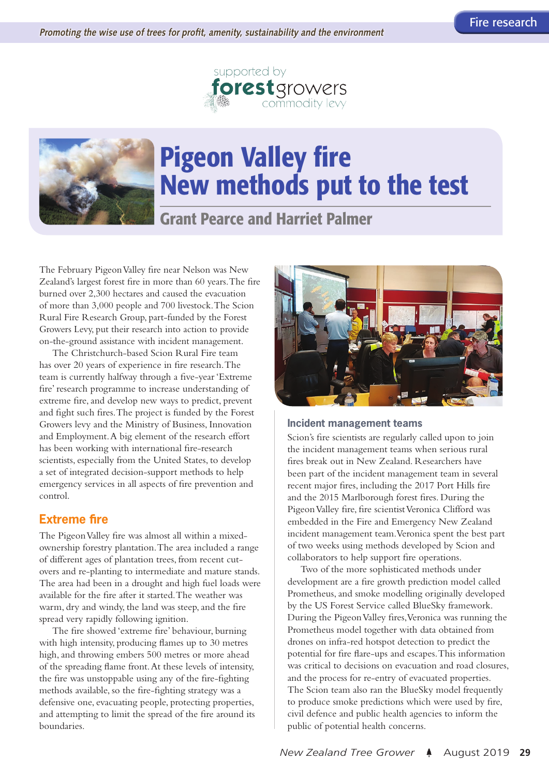



# Pigeon Valley fire New methods put to the test

Grant Pearce and Harriet Palmer

The February Pigeon Valley fire near Nelson was New Zealand's largest forest fire in more than 60 years. The fire burned over 2,300 hectares and caused the evacuation of more than 3,000 people and 700 livestock. The Scion Rural Fire Research Group, part-funded by the Forest Growers Levy, put their research into action to provide on-the-ground assistance with incident management.

The Christchurch-based Scion Rural Fire team has over 20 years of experience in fire research. The team is currently halfway through a five-year 'Extreme fire' research programme to increase understanding of extreme fire, and develop new ways to predict, prevent and fight such fires. The project is funded by the Forest Growers levy and the Ministry of Business, Innovation and Employment. A big element of the research effort has been working with international fire-research scientists, especially from the United States, to develop a set of integrated decision-support methods to help emergency services in all aspects of fire prevention and control.

## **Extreme fire**

The Pigeon Valley fire was almost all within a mixedownership forestry plantation. The area included a range of different ages of plantation trees, from recent cutovers and re-planting to intermediate and mature stands. The area had been in a drought and high fuel loads were available for the fire after it started. The weather was warm, dry and windy, the land was steep, and the fire spread very rapidly following ignition.

The fire showed 'extreme fire' behaviour, burning with high intensity, producing flames up to 30 metres high, and throwing embers 500 metres or more ahead of the spreading flame front. At these levels of intensity, the fire was unstoppable using any of the fire-fighting methods available, so the fire-fighting strategy was a defensive one, evacuating people, protecting properties, and attempting to limit the spread of the fire around its boundaries.



#### **Incident management teams**

Scion's fire scientists are regularly called upon to join the incident management teams when serious rural fires break out in New Zealand. Researchers have been part of the incident management team in several recent major fires, including the 2017 Port Hills fire and the 2015 Marlborough forest fires. During the Pigeon Valley fire, fire scientist Veronica Clifford was embedded in the Fire and Emergency New Zealand incident management team. Veronica spent the best part of two weeks using methods developed by Scion and collaborators to help support fire operations.

Two of the more sophisticated methods under development are a fire growth prediction model called Prometheus, and smoke modelling originally developed by the US Forest Service called BlueSky framework. During the Pigeon Valley fires, Veronica was running the Prometheus model together with data obtained from drones on infra-red hotspot detection to predict the potential for fire flare-ups and escapes. This information was critical to decisions on evacuation and road closures, and the process for re-entry of evacuated properties. The Scion team also ran the BlueSky model frequently to produce smoke predictions which were used by fire, civil defence and public health agencies to inform the public of potential health concerns.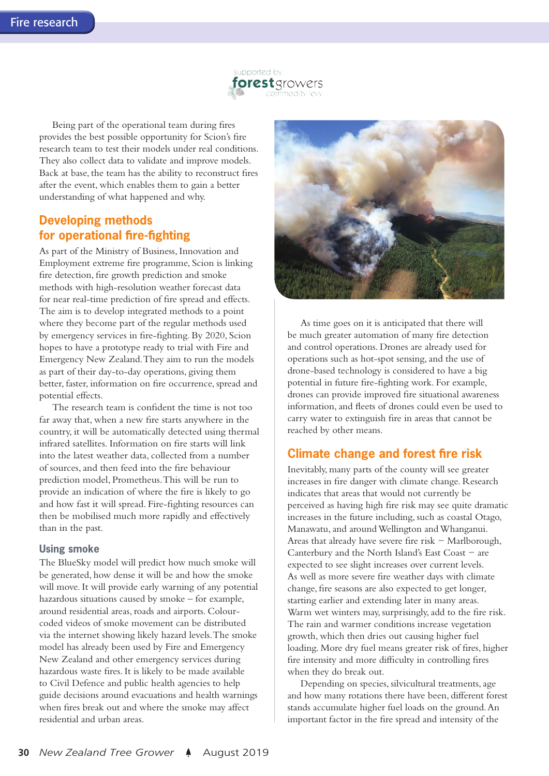

Being part of the operational team during fires provides the best possible opportunity for Scion's fire research team to test their models under real conditions. They also collect data to validate and improve models. Back at base, the team has the ability to reconstruct fires after the event, which enables them to gain a better understanding of what happened and why.

## **Developing methods for operational fire-fighting**

As part of the Ministry of Business, Innovation and Employment extreme fire programme, Scion is linking fire detection, fire growth prediction and smoke methods with high-resolution weather forecast data for near real-time prediction of fire spread and effects. The aim is to develop integrated methods to a point where they become part of the regular methods used by emergency services in fire-fighting. By 2020, Scion hopes to have a prototype ready to trial with Fire and Emergency New Zealand. They aim to run the models as part of their day-to-day operations, giving them better, faster, information on fire occurrence, spread and potential effects.

The research team is confident the time is not too far away that, when a new fire starts anywhere in the country, it will be automatically detected using thermal infrared satellites. Information on fire starts will link into the latest weather data, collected from a number of sources, and then feed into the fire behaviour prediction model, Prometheus. This will be run to provide an indication of where the fire is likely to go and how fast it will spread. Fire-fighting resources can then be mobilised much more rapidly and effectively than in the past.

#### **Using smoke**

The BlueSky model will predict how much smoke will be generated, how dense it will be and how the smoke will move. It will provide early warning of any potential hazardous situations caused by smoke – for example, around residential areas, roads and airports. Colourcoded videos of smoke movement can be distributed via the internet showing likely hazard levels. The smoke model has already been used by Fire and Emergency New Zealand and other emergency services during hazardous waste fires. It is likely to be made available to Civil Defence and public health agencies to help guide decisions around evacuations and health warnings when fires break out and where the smoke may affect residential and urban areas.



As time goes on it is anticipated that there will be much greater automation of many fire detection and control operations. Drones are already used for operations such as hot-spot sensing, and the use of drone-based technology is considered to have a big potential in future fire-fighting work. For example, drones can provide improved fire situational awareness information, and fleets of drones could even be used to carry water to extinguish fire in areas that cannot be reached by other means.

## **Climate change and forest fire risk**

Inevitably, many parts of the county will see greater increases in fire danger with climate change. Research indicates that areas that would not currently be perceived as having high fire risk may see quite dramatic increases in the future including, such as coastal Otago, Manawatu, and around Wellington and Whanganui. Areas that already have severe fire risk − Marlborough, Canterbury and the North Island's East Coast − are expected to see slight increases over current levels. As well as more severe fire weather days with climate change, fire seasons are also expected to get longer, starting earlier and extending later in many areas. Warm wet winters may, surprisingly, add to the fire risk. The rain and warmer conditions increase vegetation growth, which then dries out causing higher fuel loading. More dry fuel means greater risk of fires, higher fire intensity and more difficulty in controlling fires when they do break out.

Depending on species, silvicultural treatments, age and how many rotations there have been, different forest stands accumulate higher fuel loads on the ground. An important factor in the fire spread and intensity of the